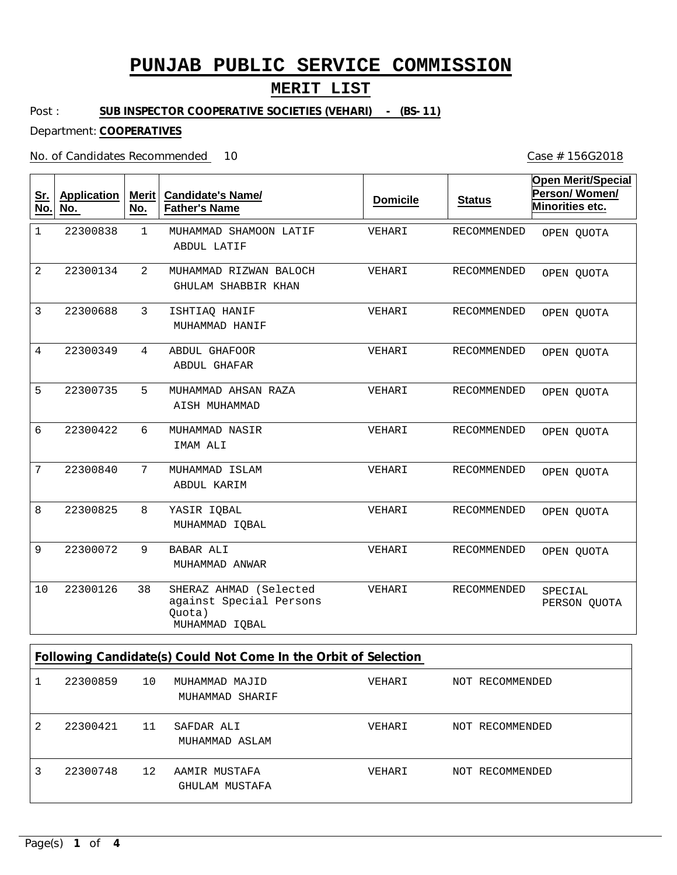#### **MERIT LIST**

Post : **SUB INSPECTOR COOPERATIVE SOCIETIES (VEHARI) - (BS-11)**

Department: **COOPERATIVES**

No. of Candidates Recommended

1 2 3 4 5 6 7 8 9 38 MUHAMMAD SHAMOON LATIF MUHAMMAD RIZWAN BALOCH ISHTIAQ HANIF ABDUL GHAFOOR MUHAMMAD AHSAN RAZA MUHAMMAD NASIR MUHAMMAD ISLAM YASIR IQBAL BABAR ALI SHERAZ AHMAD (Selected against Special Persons Quota) ABDUL LATIF GHULAM SHABBIR KHAN MUHAMMAD HANIF ABDUL GHAFAR AISH MUHAMMAD IMAM ALI ABDUL KARIM MUHAMMAD IQBAL MUHAMMAD ANWAR MUHAMMAD IQBAL 1 2 3 4 5 6 7 8 9 10 22300838 22300134 22300688 22300349 22300735 22300422 22300840 22300825 22300072 22300126 VEHARI VEHARI VEHARI VEHARI VEHARI VEHARI VEHARI VEHARI VEHARI VEHARI RECOMMENDED RECOMMENDED RECOMMENDED RECOMMENDED RECOMMENDED RECOMMENDED RECOMMENDED RECOMMENDED RECOMMENDED RECOMMENDED **Sr. No. Application No. Merit No. Candidate's Name/ Father's Name Domicile Status Open Merit/Special Person/ Women/ Minorities etc. Following Candidate(s) Could Not Come In the Orbit of Selection** OPEN QUOTA OPEN QUOTA OPEN QUOTA OPEN QUOTA OPEN QUOTA OPEN QUOTA OPEN QUOTA OPEN QUOTA OPEN QUOTA SPECIAL PERSON QUOTA

|   | 22300859 | 10 | MUHAMMAD MAJID<br>MUHAMMAD SHARIF | VEHARI | NOT RECOMMENDED |
|---|----------|----|-----------------------------------|--------|-----------------|
| 2 | 22300421 | 11 | SAFDAR ALI<br>MUHAMMAD ASLAM      | VEHARI | NOT RECOMMENDED |
|   | 22300748 | 12 | AAMIR MUSTAFA<br>GHULAM MUSTAFA   | VEHARI | NOT RECOMMENDED |

10 Case # 156G2018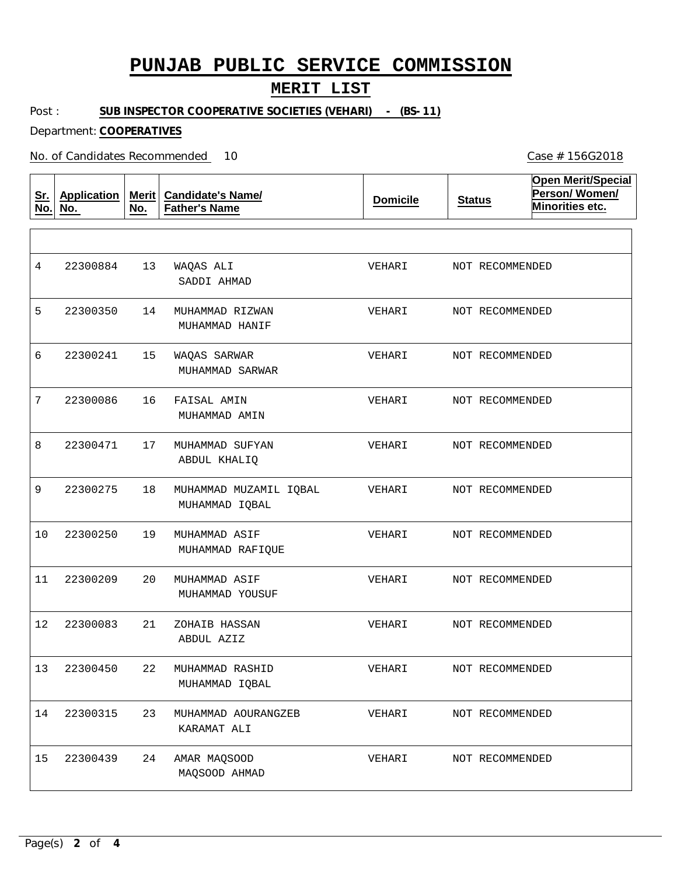#### **MERIT LIST**

Post : **SUB INSPECTOR COOPERATIVE SOCIETIES (VEHARI) - (BS-11)**

Department: **COOPERATIVES**

No. of Candidates Recommended

**Sr. No. Application No. Merit No. Candidate's Name/ Father's Name Domicile Status Open Merit/Special Person/ Women/ Minorities etc.** 13 14 15 16 17 18 19 20 21 22 MUHAMMAD RASHID 23 MUHAMMAD AOURANGZEB 24 WAQAS ALI MUHAMMAD RIZWAN WAQAS SARWAR FAISAL AMIN MUHAMMAD SUFYAN MUHAMMAD MUZAMIL IQBAL MUHAMMAD ASIF MUHAMMAD ASIF ZOHAIB HASSAN AMAR MAQSOOD SADDI AHMAD MUHAMMAD HANIF MUHAMMAD SARWAR MUHAMMAD AMIN ABDUL KHALIQ MUHAMMAD IQBAL MUHAMMAD RAFIQUE MUHAMMAD YOUSUF ABDUL AZIZ MUHAMMAD IQBAL KARAMAT ALI MAQSOOD AHMAD 4 5 6 7 8 9 10 11 12 13 22300450 14 22300315 15 22300884 22300350 22300241 22300086 22300471 22300275 22300250 22300209 22300083 22300439 VEHARI VEHARI VEHARI VEHARI VEHARI VEHARI VEHARI VEHARI VEHARI VEHARI VEHARI VEHARI NOT RECOMMENDED NOT RECOMMENDED NOT RECOMMENDED NOT RECOMMENDED NOT RECOMMENDED NOT RECOMMENDED NOT RECOMMENDED NOT RECOMMENDED NOT RECOMMENDED NOT RECOMMENDED NOT RECOMMENDED NOT RECOMMENDED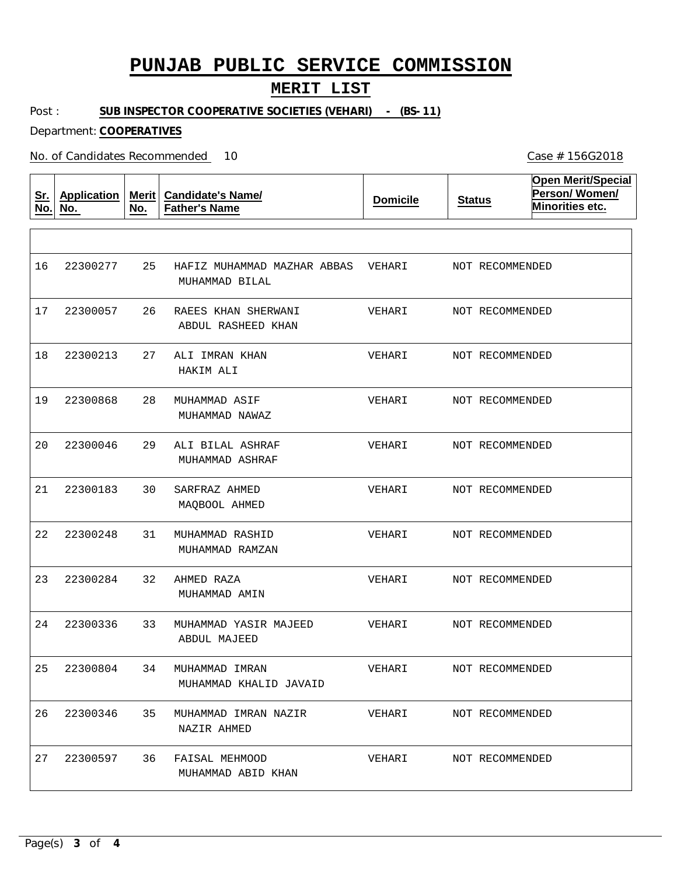#### **MERIT LIST**

Post : **SUB INSPECTOR COOPERATIVE SOCIETIES (VEHARI) - (BS-11)**

Department: **COOPERATIVES**

No. of Candidates Recommended

**Sr. No. Application No. Merit No. Candidate's Name/ Father's Name Domicile Status Open Merit/Special Person/ Women/ Minorities etc.** 25 26 27 28 29 30 31 32 33 34 35 36 HAFIZ MUHAMMAD MAZHAR ABBAS VEHARI RAEES KHAN SHERWANI ALI IMRAN KHAN MUHAMMAD ASIF ALI BILAL ASHRAF SARFRAZ AHMED MUHAMMAD RASHID AHMED RAZA MUHAMMAD YASIR MAJEED MUHAMMAD IMRAN MUHAMMAD IMRAN NAZIR FAISAL MEHMOOD MUHAMMAD BILAL ABDUL RASHEED KHAN HAKIM ALI MUHAMMAD NAWAZ MUHAMMAD ASHRAF MAQBOOL AHMED MUHAMMAD RAMZAN MUHAMMAD AMIN ABDUL MAJEED MUHAMMAD KHALID JAVAID NAZIR AHMED MUHAMMAD ABID KHAN 16 17 18 19 20 21 22 23 24 25 26 27 22300277 22300057 22300213 22300868 22300046 22300183 22300248 22300284 22300336 22300804 22300346 22300597 VEHARI VEHARI VEHARI VEHARI VEHARI VEHARI VEHARI VEHARI VEHARI VEHARI VEHARI NOT RECOMMENDED NOT RECOMMENDED NOT RECOMMENDED NOT RECOMMENDED NOT RECOMMENDED NOT RECOMMENDED NOT RECOMMENDED NOT RECOMMENDED NOT RECOMMENDED NOT RECOMMENDED NOT RECOMMENDED NOT RECOMMENDED

10 Case # 156G2018